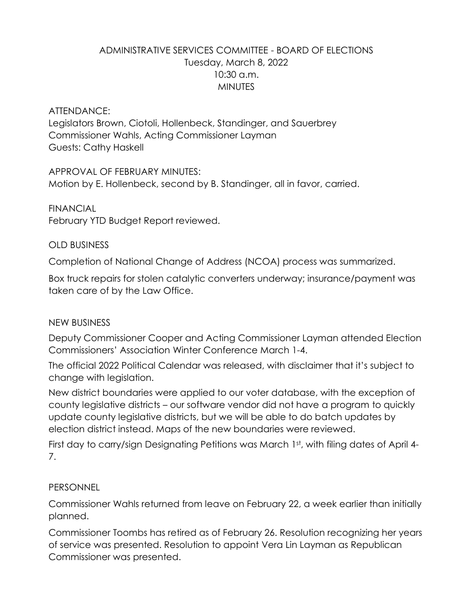# ADMINISTRATIVE SERVICES COMMITTEE - BOARD OF ELECTIONS Tuesday, March 8, 2022 10:30 a.m. **MINUTES**

#### ATTENDANCE:

Legislators Brown, Ciotoli, Hollenbeck, Standinger, and Sauerbrey Commissioner Wahls, Acting Commissioner Layman Guests: Cathy Haskell

APPROVAL OF FEBRUARY MINUTES: Motion by E. Hollenbeck, second by B. Standinger, all in favor, carried.

FINANCIAL February YTD Budget Report reviewed.

### OLD BUSINESS

Completion of National Change of Address (NCOA) process was summarized.

Box truck repairs for stolen catalytic converters underway; insurance/payment was taken care of by the Law Office.

## NEW BUSINESS

Deputy Commissioner Cooper and Acting Commissioner Layman attended Election Commissioners' Association Winter Conference March 1-4.

The official 2022 Political Calendar was released, with disclaimer that it's subject to change with legislation.

New district boundaries were applied to our voter database, with the exception of county legislative districts – our software vendor did not have a program to quickly update county legislative districts, but we will be able to do batch updates by election district instead. Maps of the new boundaries were reviewed.

First day to carry/sign Designating Petitions was March 1st, with filing dates of April 4-7.

#### PERSONNEL

Commissioner Wahls returned from leave on February 22, a week earlier than initially planned.

Commissioner Toombs has retired as of February 26. Resolution recognizing her years of service was presented. Resolution to appoint Vera Lin Layman as Republican Commissioner was presented.